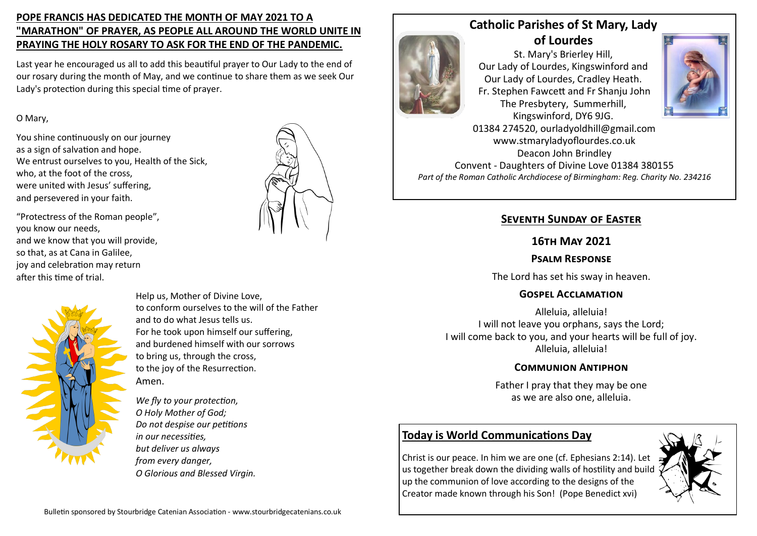# **POPE FRANCIS HAS DEDICATED THE MONTH OF MAY 2021 TO A "MARATHON" OF PRAYER, AS PEOPLE ALL AROUND THE WORLD UNITE IN PRAYING THE HOLY ROSARY TO ASK FOR THE END OF THE PANDEMIC.**

Last year he encouraged us all to add this beautiful prayer to Our Lady to the end of our rosary during the month of May, and we continue to share them as we seek Our Lady's protection during this special time of prayer.

### O Mary,

You shine continuously on our journey as a sign of salvation and hope. We entrust ourselves to you, Health of the Sick, who, at the foot of the cross, were united with Jesus' suffering, and persevered in your faith.

"Protectress of the Roman people", you know our needs, and we know that you will provide, so that, as at Cana in Galilee, joy and celebration may return after this time of trial.



Help us, Mother of Divine Love, to conform ourselves to the will of the Father and to do what Jesus tells us. For he took upon himself our suffering, and burdened himself with our sorrows to bring us, through the cross, to the joy of the Resurrection. Amen.

*We fly to your protection, O Holy Mother of God; Do not despise our petitions in our necessities, but deliver us always from every danger, O Glorious and Blessed Virgin.*



# **Catholic Parishes of St Mary, Lady of Lourdes**

St. Mary's Brierley Hill, Our Lady of Lourdes, Kingswinford and Our Lady of Lourdes, Cradley Heath. Fr. Stephen Fawcett and Fr Shanju John The Presbytery, Summerhill, Kingswinford, DY6 9JG.



01384 274520, ourladyoldhill@gmail.com www.stmaryladyoflourdes.co.uk Deacon John Brindley Convent - Daughters of Divine Love 01384 380155 *Part of the Roman Catholic Archdiocese of Birmingham: Reg. Charity No. 234216*

# **Seventh Sunday of Easter**

## **16th May 2021**

## **Psalm Response**

The Lord has set his sway in heaven.

## **Gospel Acclamation**

Alleluia, alleluia! I will not leave you orphans, says the Lord; I will come back to you, and your hearts will be full of joy. Alleluia, alleluia!

### **Communion Antiphon**

Father I pray that they may be one as we are also one, alleluia.

# **Today is World Communications Day**

Christ is our peace. In him we are one (cf. Ephesians 2:14). Let us together break down the dividing walls of hostility and build up the communion of love according to the designs of the Creator made known through his Son! (Pope Benedict xvi)